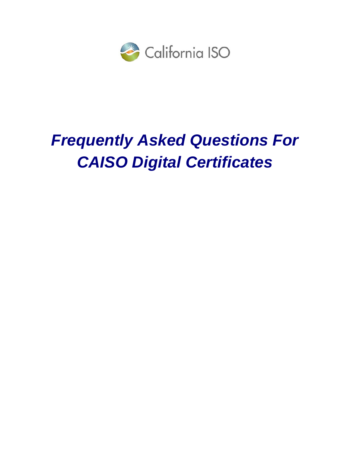

# *Frequently Asked Questions For CAISO Digital Certificates*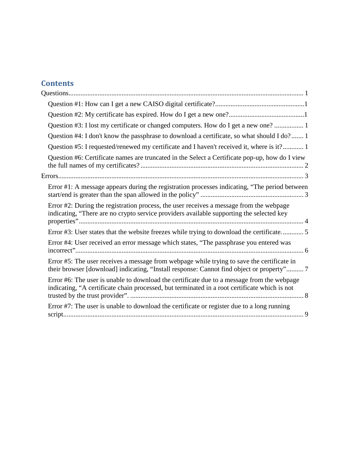## **Contents**

| Question #3: I lost my certificate or changed computers. How do I get a new one?  1                                                                                                         |
|---------------------------------------------------------------------------------------------------------------------------------------------------------------------------------------------|
| Question #4: I don't know the passphrase to download a certificate, so what should I do? 1                                                                                                  |
| Question #5: I requested/renewed my certificate and I haven't received it, where is it? 1                                                                                                   |
| Question #6: Certificate names are truncated in the Select a Certificate pop-up, how do I view                                                                                              |
|                                                                                                                                                                                             |
| Error #1: A message appears during the registration processes indicating, "The period between                                                                                               |
| Error #2: During the registration process, the user receives a message from the webpage<br>indicating, "There are no crypto service providers available supporting the selected key         |
| Error #3: User states that the website freezes while trying to download the certificate 5                                                                                                   |
| Error #4: User received an error message which states, "The passphrase you entered was                                                                                                      |
| Error #5: The user receives a message from webpage while trying to save the certificate in<br>their browser [download] indicating, "Install response: Cannot find object or property" 7     |
| Error #6: The user is unable to download the certificate due to a message from the webpage<br>indicating, "A certificate chain processed, but terminated in a root certificate which is not |
| Error #7: The user is unable to download the certificate or register due to a long running                                                                                                  |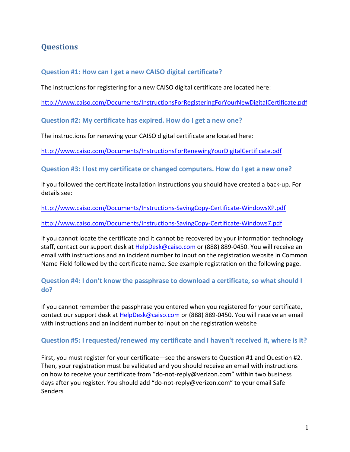## **Questions**

#### **Question #1: How can I get a new CAISO digital certificate?**

The instructions for registering for a new CAISO digital certificate are located here:

<http://www.caiso.com/Documents/InstructionsForRegisteringForYourNewDigitalCertificate.pdf>

**Question #2: My certificate has expired. How do I get a new one?**

The instructions for renewing your CAISO digital certificate are located here:

<http://www.caiso.com/Documents/InstructionsForRenewingYourDigitalCertificate.pdf>

**Question #3: I lost my certificate or changed computers. How do I get a new one?**

If you followed the certificate installation instructions you should have created a back-up. For details see:

<http://www.caiso.com/Documents/Instructions-SavingCopy-Certificate-WindowsXP.pdf>

<http://www.caiso.com/Documents/Instructions-SavingCopy-Certificate-Windows7.pdf>

If you cannot locate the certificate and it cannot be recovered by your information technology staff, contact our support desk at [HelpDesk@caiso.com](mailto:HelpDesk@caiso.com) or (888) 889-0450. You will receive an email with instructions and an incident number to input on the registration website in Common Name Field followed by the certificate name. See example registration on the following page.

## **Question #4: I don't know the passphrase to download a certificate, so what should I do?**

If you cannot remember the passphrase you entered when you registered for your certificate, contact our support desk at HelpDesk@caiso.com or (888) 889-0450. You will receive an email with instructions and an incident number to input on the registration website

#### **Question #5: I requested/renewed my certificate and I haven't received it, where is it?**

First, you must register for your certificate—see the answers to Question #1 and Question #2. Then, your registration must be validated and you should receive an email with instructions on how to receive your certificate from "do-not-reply@verizon.com" within two business days after you register. You should add "do-not-reply@verizon.com" to your email Safe Senders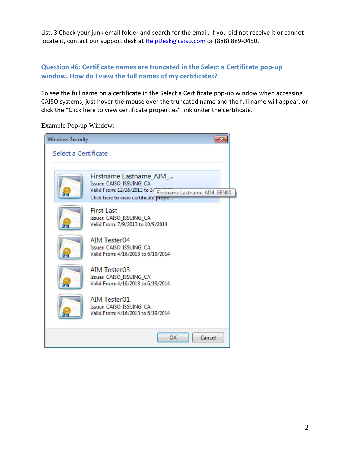List. 3 Check your junk email folder and search for the email. If you did not receive it or cannot locate it, contact our support desk at HelpDesk@caiso.com or (888) 889-0450.

## **Question #6: Certificate names are truncated in the Select a Certificate pop‐up window. How do I view the full names of my certificates?**

To see the full name on a certificate in the Select a Certificate pop-up window when accessing CAISO systems, just hover the mouse over the truncated name and the full name will appear, or click the "Click here to view certificate properties" link under the certificate.

Example Pop-up Window:

| <b>Windows Security</b> |                                                                                                                                                          |  |
|-------------------------|----------------------------------------------------------------------------------------------------------------------------------------------------------|--|
| Select a Certificate    |                                                                                                                                                          |  |
|                         |                                                                                                                                                          |  |
|                         | Firstname Lastname_AIM_<br>Issuer: CAISO ISSUING CA<br>Valid From: 12/26/2013 to 3/ Firstname Lastname_AIM_GEN00<br>Click here to view certificate prope |  |
|                         | <b>First Last</b><br>Issuer: CAISO_ISSUING_CA<br>Valid From: 7/9/2013 to 10/9/2014                                                                       |  |
|                         | <b>AIM Tester04</b><br>Issuer: CAISO_ISSUING_CA<br>Valid From: 4/16/2013 to 6/19/2014                                                                    |  |
|                         | <b>AIM Tester03</b><br>Issuer: CAISO_ISSUING_CA<br>Valid From: 4/16/2013 to 6/19/2014                                                                    |  |
|                         | <b>AIM Tester01</b><br>Issuer: CAISO ISSUING CA<br>Valid From: 4/16/2013 to 6/19/2014                                                                    |  |
|                         | OK<br>Cancel                                                                                                                                             |  |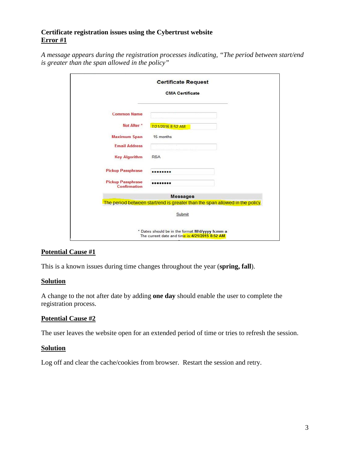#### **Certificate registration issues using the Cybertrust website Error #1**

| A message appears during the registration processes indicating, "The period between start/end |  |
|-----------------------------------------------------------------------------------------------|--|
| is greater than the span allowed in the policy"                                               |  |

|                                          | <b>Certificate Request</b>                                                                          |
|------------------------------------------|-----------------------------------------------------------------------------------------------------|
|                                          | <b>CMA Certificate</b>                                                                              |
| <b>Common Name</b>                       |                                                                                                     |
| Not After <sup>*</sup>                   | 7/21/2016 8:52 AM                                                                                   |
| <b>Maximum Span</b>                      | 15 months                                                                                           |
| <b>Email Address</b>                     |                                                                                                     |
| <b>Key Algorithm</b>                     | <b>RSA</b>                                                                                          |
| <b>Pickup Passphrase</b>                 |                                                                                                     |
| <b>Pickup Passphrase</b><br>Confirmation |                                                                                                     |
|                                          | <b>Messages</b>                                                                                     |
|                                          | The period between start/end is greater than the span allowed in the policy.                        |
|                                          | Submit                                                                                              |
|                                          | * Dates should be in the format: M/d/yyyy h:mm a<br>The current date and time is: 4/21/2015 8:52 AM |

#### **Potential Cause #1**

This is a known issues during time changes throughout the year (**spring, fall**).

#### **Solution**

A change to the not after date by adding **one day** should enable the user to complete the registration process.

#### **Potential Cause #2**

The user leaves the website open for an extended period of time or tries to refresh the session.

#### **Solution**

Log off and clear the cache/cookies from browser. Restart the session and retry.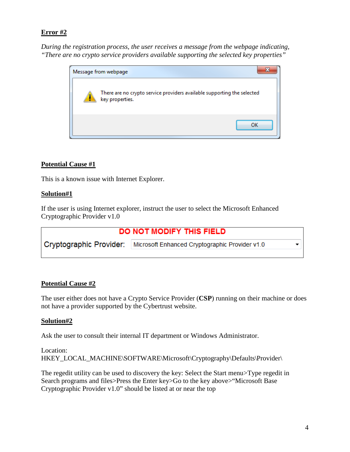*During the registration process, the user receives a message from the webpage indicating, "There are no crypto service providers available supporting the selected key properties"*

| Message from webpage                                                                       |
|--------------------------------------------------------------------------------------------|
| There are no crypto service providers available supporting the selected<br>key properties. |
| ΩK                                                                                         |

#### **Potential Cause #1**

This is a known issue with Internet Explorer.

#### **Solution#1**

If the user is using Internet explorer, instruct the user to select the Microsoft Enhanced Cryptographic Provider v1.0

| DO NOT MODIFY THIS FIELD                                                 |  |
|--------------------------------------------------------------------------|--|
| Cryptographic Provider:   Microsoft Enhanced Cryptographic Provider v1.0 |  |
|                                                                          |  |

#### **Potential Cause #2**

The user either does not have a Crypto Service Provider (**CSP**) running on their machine or does not have a provider supported by the Cybertrust website.

#### **Solution#2**

Ask the user to consult their internal IT department or Windows Administrator.

```
Location: 
HKEY_LOCAL_MACHINE\SOFTWARE\Microsoft\Cryptography\Defaults\Provider\
```
The regedit utility can be used to discovery the key: Select the Start menu>Type regedit in Search programs and files>Press the Enter key>Go to the key above>"Microsoft Base Cryptographic Provider v1.0" should be listed at or near the top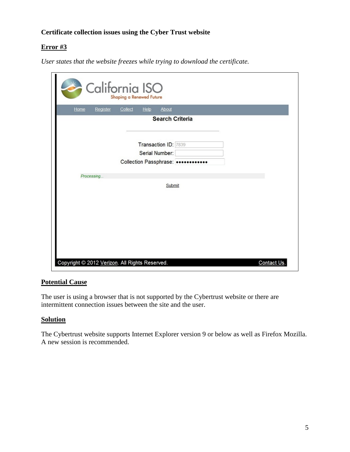## **Certificate collection issues using the Cyber Trust website**

## **Error #3**

*User states that the website freezes while trying to download the certificate.*

| California ISO<br>Shaping a Renewed Future     |            |
|------------------------------------------------|------------|
| Home<br>Help<br>About<br>Register<br>Collect   |            |
| <b>Search Criteria</b>                         |            |
| Transaction ID: 7839<br>Serial Number:         |            |
| Collection Passphrase:                         |            |
| Processing                                     |            |
| Submit                                         |            |
|                                                |            |
|                                                |            |
| Copyright @ 2012 Verizon. All Rights Reserved. | Contact Us |

#### **Potential Cause**

The user is using a browser that is not supported by the Cybertrust website or there are intermittent connection issues between the site and the user.

#### **Solution**

The Cybertrust website supports Internet Explorer version 9 or below as well as Firefox Mozilla. A new session is recommended.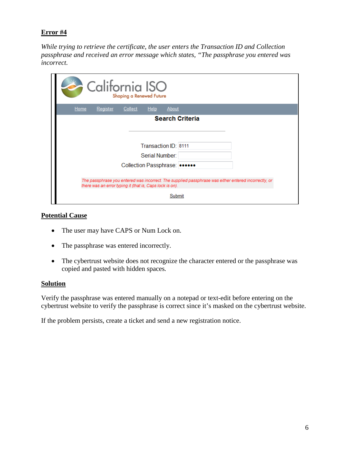*While trying to retrieve the certificate, the user enters the Transaction ID and Collection passphrase and received an error message which states, "The passphrase you entered was incorrect.*

| California ISO<br>Shaping a Renewed Future                                                                                                                       |  |
|------------------------------------------------------------------------------------------------------------------------------------------------------------------|--|
| <b>Home</b><br><b>Help</b><br>Register<br>About<br>Collect                                                                                                       |  |
| <b>Search Criteria</b>                                                                                                                                           |  |
|                                                                                                                                                                  |  |
|                                                                                                                                                                  |  |
| Transaction ID: 8111                                                                                                                                             |  |
| Serial Number                                                                                                                                                    |  |
| Collection Passphrase:                                                                                                                                           |  |
|                                                                                                                                                                  |  |
| The passphrase you entered was incorrect. The supplied passphrase was either entered incorrectly, or<br>there was an error typing it (that is, Caps lock is on). |  |
| Submit                                                                                                                                                           |  |

#### **Potential Cause**

- The user may have CAPS or Num Lock on.
- The passphrase was entered incorrectly.
- The cybertrust website does not recognize the character entered or the passphrase was copied and pasted with hidden spaces*.*

#### **Solution**

Verify the passphrase was entered manually on a notepad or text-edit before entering on the cybertrust website to verify the passphrase is correct since it's masked on the cybertrust website.

If the problem persists, create a ticket and send a new registration notice.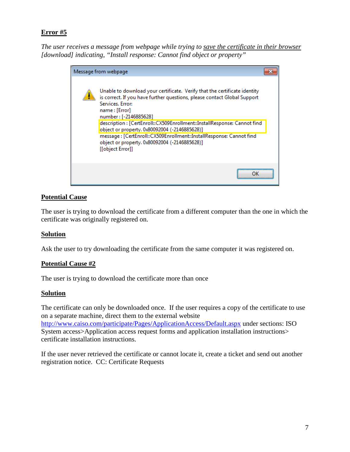*The user receives a message from webpage while trying to save the certificate in their browser [download] indicating, "Install response: Cannot find object or property"*

| Message from webpage                                                                                                                                                                                                                                                                                                                                                                                                                                                                         |  |
|----------------------------------------------------------------------------------------------------------------------------------------------------------------------------------------------------------------------------------------------------------------------------------------------------------------------------------------------------------------------------------------------------------------------------------------------------------------------------------------------|--|
| Unable to download your certificate. Verify that the certificate identity<br>is correct. If you have further questions, please contact Global Support<br>Services, Error:<br>name: [Error]<br>number: [-2146885628]<br>description : [CertEnroll::CX509Enrollment::InstallResponse: Cannot find<br>object or property. 0x80092004 (-2146885628)]<br>message: [CertEnroll::CX509Enrollment::InstallResponse: Cannot find<br>object or property. 0x80092004 (-2146885628)]<br>[[object Error]] |  |
|                                                                                                                                                                                                                                                                                                                                                                                                                                                                                              |  |

#### **Potential Cause**

The user is trying to download the certificate from a different computer than the one in which the certificate was originally registered on.

#### **Solution**

Ask the user to try downloading the certificate from the same computer it was registered on.

#### **Potential Cause #2**

The user is trying to download the certificate more than once

#### **Solution**

The certificate can only be downloaded once. If the user requires a copy of the certificate to use on a separate machine, direct them to the external website <http://www.caiso.com/participate/Pages/ApplicationAccess/Default.aspx> under sections: ISO System access>Application access request forms and application installation instructions> certificate installation instructions.

If the user never retrieved the certificate or cannot locate it, create a ticket and send out another registration notice. CC: Certificate Requests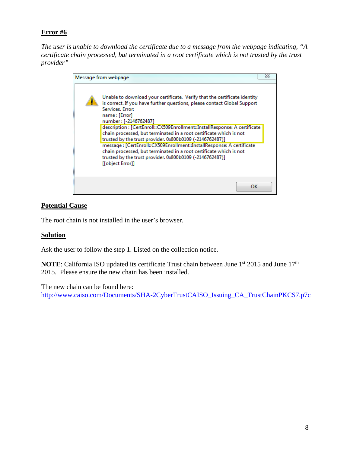*The user is unable to download the certificate due to a message from the webpage indicating, "A certificate chain processed, but terminated in a root certificate which is not trusted by the trust provider"* 

|  | Message from webpage                                                                                                                                                                                                                                                                                                                                                                                                                                                                                                                                                                                                                                               | 23 |
|--|--------------------------------------------------------------------------------------------------------------------------------------------------------------------------------------------------------------------------------------------------------------------------------------------------------------------------------------------------------------------------------------------------------------------------------------------------------------------------------------------------------------------------------------------------------------------------------------------------------------------------------------------------------------------|----|
|  | Unable to download your certificate. Verify that the certificate identity<br>is correct. If you have further questions, please contact Global Support<br>Services, Error:<br>name: [Error]<br>number: [-2146762487]<br>description : [CertEnroll::CX509Enrollment::InstallResponse: A certificate<br>chain processed, but terminated in a root certificate which is not<br>trusted by the trust provider. 0x800b0109 (-2146762487)]<br>message: [CertEnroll::CX509Enrollment::InstallResponse: A certificate<br>chain processed, but terminated in a root certificate which is not<br>trusted by the trust provider. 0x800b0109 (-2146762487)]<br>[[object Error]] |    |
|  | ок                                                                                                                                                                                                                                                                                                                                                                                                                                                                                                                                                                                                                                                                 |    |

#### **Potential Cause**

The root chain is not installed in the user's browser.

#### **Solution**

Ask the user to follow the step 1. Listed on the collection notice.

**NOTE**: California ISO updated its certificate Trust chain between June 1<sup>st</sup> 2015 and June 17<sup>th</sup> 2015. Please ensure the new chain has been installed.

The new chain can be found here:

http://www.caiso.com/Documents/SHA-[2CyberTrustCAISO\\_Issuing\\_CA\\_TrustChainPKCS7.p7c](http://www.caiso.com/Documents/SHA-2CyberTrustCAISO_Issuing_CA_TrustChainPKCS7.p7c)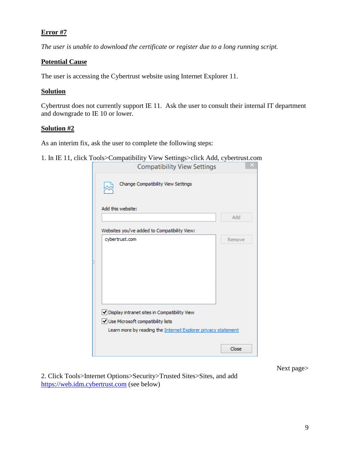*The user is unable to download the certificate or register due to a long running script.*

#### **Potential Cause**

The user is accessing the Cybertrust website using Internet Explorer 11.

#### **Solution**

Cybertrust does not currently support IE 11. Ask the user to consult their internal IT department and downgrade to IE 10 or lower.

#### **Solution #2**

As an interim fix, ask the user to complete the following steps:

1. In IE 11, click Tools>Compatibility View Settings>click Add, cybertrust.com

| <b>Compatibility View Settings</b>                                                                                                                 |        |
|----------------------------------------------------------------------------------------------------------------------------------------------------|--------|
| Change Compatibility View Settings                                                                                                                 |        |
| Add this website:                                                                                                                                  |        |
|                                                                                                                                                    | Add    |
| Websites you've added to Compatibility View:                                                                                                       |        |
| cybertrust.com                                                                                                                                     | Remove |
|                                                                                                                                                    |        |
|                                                                                                                                                    |        |
|                                                                                                                                                    |        |
|                                                                                                                                                    |        |
|                                                                                                                                                    |        |
| Display intranet sites in Compatibility View<br>Use Microsoft compatibility lists<br>Learn more by reading the Internet Explorer privacy statement |        |
|                                                                                                                                                    | Close  |

Next page>

2. Click Tools>Internet Options>Security>Trusted Sites>Sites, and add [https://web.idm.cybertrust.com](https://web.idm.cybertrust.com/) (see below)